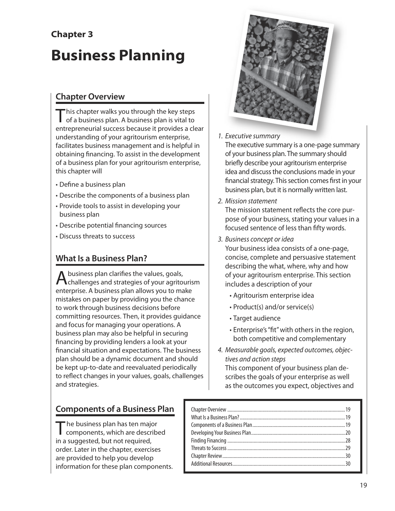# **Chapter 3 Business Planning**

# **Chapter Overview**

This chapter walks you through the key steps<br>of a business plan. A business plan is vital to entrepreneurial success because it provides a clear understanding of your agritourism enterprise, facilitates business management and is helpful in obtaining financing. To assist in the development of a business plan for your agritourism enterprise, this chapter will

- Define a business plan
- Describe the components of a business plan
- Provide tools to assist in developing your business plan
- Describe potential financing sources
- Discuss threats to success

## **What Is a Business Plan?**

A business plan clarifies the values, goals,<br> **A** challenges and strategies of your agritourism enterprise. A business plan allows you to make mistakes on paper by providing you the chance to work through business decisions before committing resources. Then, it provides guidance and focus for managing your operations. A business plan may also be helpful in securing financing by providing lenders a look at your financial situation and expectations. The business plan should be a dynamic document and should be kept up-to-date and reevaluated periodically to reflect changes in your values, goals, challenges and strategies.

## **Components of a Business Plan**

The business plan has ten major<br>components, which are described in a suggested, but not required, order. Later in the chapter, exercises are provided to help you develop information for these plan components.



1. Executive summary

The executive summary is a one-page summary of your business plan. The summary should briefly describe your agritourism enterprise idea and discuss the conclusions made in your financial strategy. This section comes first in your business plan, but it is normally written last.

2. Mission statement

The mission statement reflects the core purpose of your business, stating your values in a focused sentence of less than fifty words.

- 3. Business concept or idea Your business idea consists of a one-page, concise, complete and persuasive statement describing the what, where, why and how of your agritourism enterprise. This section includes a description of your
	- Agritourism enterprise idea
	- Product(s) and/or service(s)
	- Target audience
	- Enterprise's "fit" with others in the region, both competitive and complementary
- 4. Measurable goals, expected outcomes, objectives and action steps

This component of your business plan describes the goals of your enterprise as well as the outcomes you expect, objectives and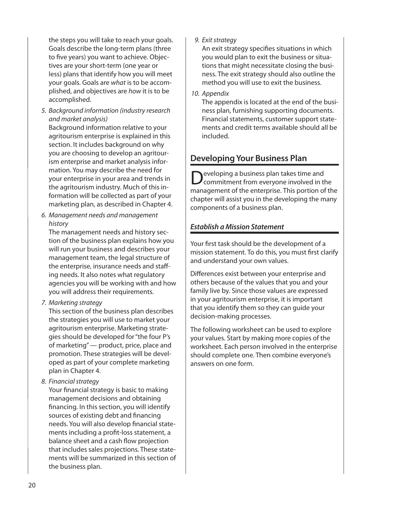<span id="page-1-0"></span>the steps you will take to reach your goals. Goals describe the long-term plans (three to five years) you want to achieve. Objectives are your short-term (one year or less) plans that identify how you will meet your goals. Goals are what is to be accomplished, and objectives are how it is to be accomplished.

 5. Background information (industry research and market analysis)

Background information relative to your agritourism enterprise is explained in this section. It includes background on why you are choosing to develop an agritourism enterprise and market analysis information. You may describe the need for your enterprise in your area and trends in the agritourism industry. Much of this information will be collected as part of your marketing plan, as described in Chapter 4.

 6. Management needs and management history

The management needs and history section of the business plan explains how you will run your business and describes your management team, the legal structure of the enterprise, insurance needs and staffing needs. It also notes what regulatory agencies you will be working with and how you will address their requirements.

7. Marketing strategy

This section of the business plan describes the strategies you will use to market your agritourism enterprise. Marketing strategies should be developed for "the four P's of marketing" — product, price, place and promotion. These strategies will be developed as part of your complete marketing plan in Chapter 4.

8. Financial strategy

Your financial strategy is basic to making management decisions and obtaining financing. In this section, you will identify sources of existing debt and financing needs. You will also develop financial statements including a profit-loss statement, a balance sheet and a cash flow projection that includes sales projections. These statements will be summarized in this section of the business plan.

9. Exit strategy

An exit strategy specifies situations in which you would plan to exit the business or situations that might necessitate closing the business. The exit strategy should also outline the method you will use to exit the business.

10. Appendix

The appendix is located at the end of the business plan, furnishing supporting documents. Financial statements, customer support statements and credit terms available should all be included.

## **Developing Your Business Plan**

Peveloping a business plan takes time and commitment from everyone involved in the management of the enterprise. This portion of the chapter will assist you in the developing the many components of a business plan.

#### **Establish a Mission Statement**

Your first task should be the development of a mission statement. To do this, you must first clarify and understand your own values.

Differences exist between your enterprise and others because of the values that you and your family live by. Since those values are expressed in your agritourism enterprise, it is important that you identify them so they can guide your decision-making processes.

The following worksheet can be used to explore your values. Start by making more copies of the worksheet. Each person involved in the enterprise should complete one. Then combine everyone's answers on one form.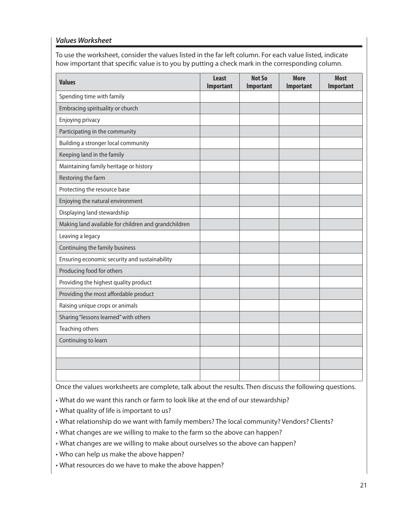#### **Values Worksheet**

To use the worksheet, consider the values listed in the far left column. For each value listed, indicate how important that specific value is to you by putting a check mark in the corresponding column.

| <b>Values</b>                                        | <b>Least</b><br>Important | <b>Not So</b><br><b>Important</b> | <b>More</b><br><b>Important</b> | <b>Most</b><br><b>Important</b> |
|------------------------------------------------------|---------------------------|-----------------------------------|---------------------------------|---------------------------------|
| Spending time with family                            |                           |                                   |                                 |                                 |
| Embracing spirituality or church                     |                           |                                   |                                 |                                 |
| Enjoying privacy                                     |                           |                                   |                                 |                                 |
| Participating in the community                       |                           |                                   |                                 |                                 |
| Building a stronger local community                  |                           |                                   |                                 |                                 |
| Keeping land in the family                           |                           |                                   |                                 |                                 |
| Maintaining family heritage or history               |                           |                                   |                                 |                                 |
| Restoring the farm                                   |                           |                                   |                                 |                                 |
| Protecting the resource base                         |                           |                                   |                                 |                                 |
| Enjoying the natural environment                     |                           |                                   |                                 |                                 |
| Displaying land stewardship                          |                           |                                   |                                 |                                 |
| Making land available for children and grandchildren |                           |                                   |                                 |                                 |
| Leaving a legacy                                     |                           |                                   |                                 |                                 |
| Continuing the family business                       |                           |                                   |                                 |                                 |
| Ensuring economic security and sustainability        |                           |                                   |                                 |                                 |
| Producing food for others                            |                           |                                   |                                 |                                 |
| Providing the highest quality product                |                           |                                   |                                 |                                 |
| Providing the most affordable product                |                           |                                   |                                 |                                 |
| Raising unique crops or animals                      |                           |                                   |                                 |                                 |
| Sharing "lessons learned" with others                |                           |                                   |                                 |                                 |
| Teaching others                                      |                           |                                   |                                 |                                 |
| Continuing to learn                                  |                           |                                   |                                 |                                 |
|                                                      |                           |                                   |                                 |                                 |
|                                                      |                           |                                   |                                 |                                 |
|                                                      |                           |                                   |                                 |                                 |

Once the values worksheets are complete, talk about the results. Then discuss the following questions.

• What do we want this ranch or farm to look like at the end of our stewardship?

- What quality of life is important to us?
- What relationship do we want with family members? The local community? Vendors? Clients?
- What changes are we willing to make to the farm so the above can happen?
- What changes are we willing to make about ourselves so the above can happen?
- Who can help us make the above happen?
- What resources do we have to make the above happen?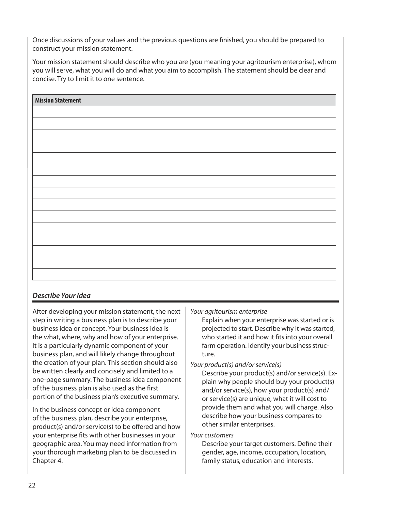Once discussions of your values and the previous questions are finished, you should be prepared to construct your mission statement.

Your mission statement should describe who you are (you meaning your agritourism enterprise), whom you will serve, what you will do and what you aim to accomplish. The statement should be clear and concise. Try to limit it to one sentence.

| <b>Mission Statement</b> |
|--------------------------|
|                          |
|                          |
|                          |
|                          |
|                          |
|                          |
|                          |
|                          |
|                          |
|                          |
|                          |
|                          |
|                          |
|                          |
|                          |
|                          |

#### **Describe Your Idea**

After developing your mission statement, the next step in writing a business plan is to describe your business idea or concept. Your business idea is the what, where, why and how of your enterprise. It is a particularly dynamic component of your business plan, and will likely change throughout the creation of your plan. This section should also be written clearly and concisely and limited to a one-page summary. The business idea component of the business plan is also used as the first portion of the business plan's executive summary.

In the business concept or idea component of the business plan, describe your enterprise, product(s) and/or service(s) to be offered and how your enterprise fits with other businesses in your geographic area. You may need information from your thorough marketing plan to be discussed in Chapter 4.

#### Your agritourism enterprise

Explain when your enterprise was started or is projected to start. Describe why it was started, who started it and how it fits into your overall farm operation. Identify your business structure.

#### Your product(s) and/or service(s)

Describe your product(s) and/or service(s). Explain why people should buy your product(s) and/or service(s), how your product(s) and/ or service(s) are unique, what it will cost to provide them and what you will charge. Also describe how your business compares to other similar enterprises.

#### Your customers

Describe your target customers. Define their gender, age, income, occupation, location, family status, education and interests.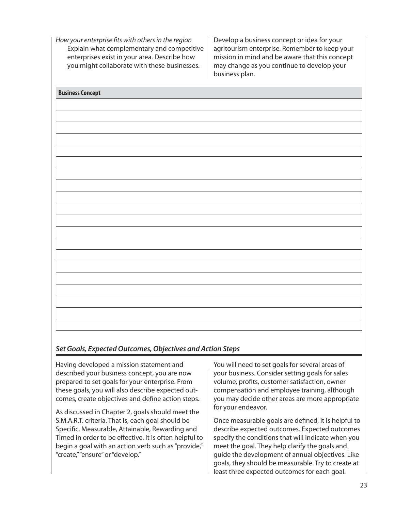How your enterprise fits with others in the region Explain what complementary and competitive enterprises exist in your area. Describe how you might collaborate with these businesses.

Develop a business concept or idea for your agritourism enterprise. Remember to keep your mission in mind and be aware that this concept may change as you continue to develop your business plan.

| <b>Business Concept</b> |  |
|-------------------------|--|
|                         |  |
|                         |  |
|                         |  |
|                         |  |
|                         |  |
|                         |  |
|                         |  |
|                         |  |
|                         |  |
|                         |  |
|                         |  |
|                         |  |
|                         |  |
|                         |  |
|                         |  |
|                         |  |
|                         |  |
|                         |  |
|                         |  |
|                         |  |

#### **Set Goals, Expected Outcomes, Objectives and Action Steps**

Having developed a mission statement and described your business concept, you are now prepared to set goals for your enterprise. From these goals, you will also describe expected outcomes, create objectives and define action steps.

As discussed in Chapter 2, goals should meet the S.M.A.R.T. criteria. That is, each goal should be Specific, Measurable, Attainable, Rewarding and Timed in order to be effective. It is often helpful to begin a goal with an action verb such as "provide," "create," "ensure" or "develop."

You will need to set goals for several areas of your business. Consider setting goals for sales volume, profits, customer satisfaction, owner compensation and employee training, although you may decide other areas are more appropriate for your endeavor.

Once measurable goals are defined, it is helpful to describe expected outcomes. Expected outcomes specify the conditions that will indicate when you meet the goal. They help clarify the goals and guide the development of annual objectives. Like goals, they should be measurable. Try to create at least three expected outcomes for each goal.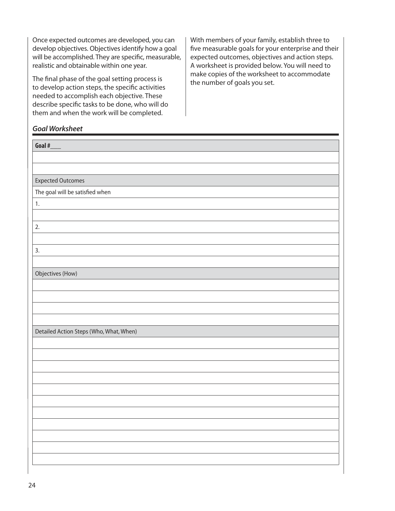Once expected outcomes are developed, you can develop objectives. Objectives identify how a goal will be accomplished. They are specific, measurable, realistic and obtainable within one year.

The final phase of the goal setting process is to develop action steps, the specific activities needed to accomplish each objective. These describe specific tasks to be done, who will do them and when the work will be completed.

**Goal Worksheet**

**Goal #\_\_\_**  Expected Outcomes The goal will be satisfied when 1. 2. 3. Objectives (How) Detailed Action Steps (Who, What, When)

With members of your family, establish three to five measurable goals for your enterprise and their expected outcomes, objectives and action steps. A worksheet is provided below. You will need to make copies of the worksheet to accommodate the number of goals you set.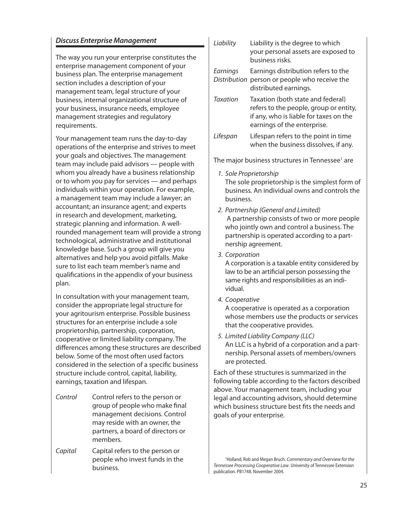#### **Discuss Enterprise Management**

The way you run your enterprise constitutes the enterprise management component of your business plan. The enterprise management section includes a description of your management team, legal structure of your business, internal organizational structure of your business, insurance needs, employee management strategies and regulatory requirements.

Your management team runs the day-to-day operations of the enterprise and strives to meet your goals and objectives. The management team may include paid advisors — people with whom you already have a business relationship or to whom you pay for services — and perhaps individuals within your operation. For example, a management team may include a lawyer; an accountant; an insurance agent; and experts in research and development, marketing, strategic planning and information. A wellrounded management team will provide a strong technological, administrative and institutional knowledge base. Such a group will give you alternatives and help you avoid pitfalls. Make sure to list each team member's name and qualifications in the appendix of your business plan.

In consultation with your management team, consider the appropriate legal structure for your agritourism enterprise. Possible business structures for an enterprise include a sole proprietorship, partnership, corporation, cooperative or limited liability company. The differences among these structures are described below. Some of the most often used factors considered in the selection of a specific business structure include control, capital, liability, earnings, taxation and lifespan.

- Control Control refers to the person or group of people who make final management decisions. Control may reside with an owner, the partners, a board of directors or members.
- Capital Capital refers to the person or people who invest funds in the business.

| Liability | Liability is the degree to which<br>your personal assets are exposed to<br>business risks.                                                           |
|-----------|------------------------------------------------------------------------------------------------------------------------------------------------------|
| Earnings  | Earnings distribution refers to the<br>Distribution person or people who receive the<br>distributed earnings.                                        |
| Taxation  | Taxation (both state and federal)<br>refers to the people, group or entity,<br>if any, who is liable for taxes on the<br>earnings of the enterprise. |
| Lifespan  | Lifespan refers to the point in time<br>when the business dissolves, if any.                                                                         |

The major business structures in Tennessee<sup>1</sup> are

- 1. Sole Proprietorship The sole proprietorship is the simplest form of business. An individual owns and controls the business.
- 2. Partnership (General and Limited) A partnership consists of two or more people who jointly own and control a business. The partnership is operated according to a partnership agreement.

3. Corporation

A corporation is a taxable entity considered by law to be an artificial person possessing the same rights and responsibilities as an individual.

4. Cooperative

A cooperative is operated as a corporation whose members use the products or services that the cooperative provides.

5. Limited Liability Company (LLC)

An LLC is a hybrid of a corporation and a partnership. Personal assets of members/owners are protected.

Each of these structures is summarized in the following table according to the factors described above. Your management team, including your legal and accounting advisors, should determine which business structure best fits the needs and goals of your enterprise.

<sup>1</sup>Holland, Rob and Megan Bruch. Commentary and Overview for the Tennessee Processing Cooperative Law. University of Tennessee Extension publication. PB1748. November 2004.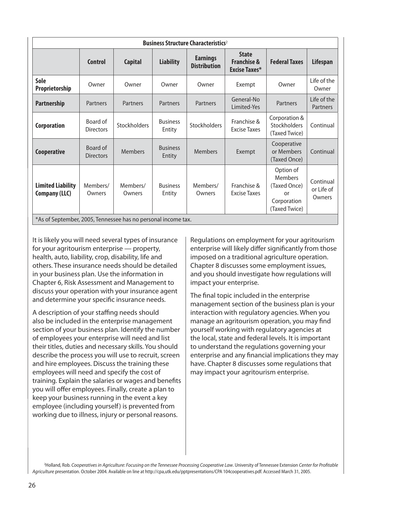| <b>Business Structure Characteristics<sup>2</sup></b>         |                              |                    |                           |                                        |                                                                |                                                                                   |                                   |
|---------------------------------------------------------------|------------------------------|--------------------|---------------------------|----------------------------------------|----------------------------------------------------------------|-----------------------------------------------------------------------------------|-----------------------------------|
|                                                               | <b>Control</b>               | <b>Capital</b>     | <b>Liability</b>          | <b>Earnings</b><br><b>Distribution</b> | <b>State</b><br><b>Franchise &amp;</b><br><b>Excise Taxes*</b> | <b>Federal Taxes</b>                                                              | <b>Lifespan</b>                   |
| <b>Sole</b><br>Proprietorship                                 | Owner                        | Owner              | Owner                     | Owner                                  | Exempt                                                         | Owner                                                                             | Life of the<br>Owner              |
| <b>Partnership</b>                                            | Partners                     | <b>Partners</b>    | <b>Partners</b>           | <b>Partners</b>                        | General-No<br>Limited-Yes                                      | <b>Partners</b>                                                                   | Life of the<br><b>Partners</b>    |
| <b>Corporation</b>                                            | Board of<br><b>Directors</b> | Stockholders       | <b>Business</b><br>Entity | Stockholders                           | Franchise &<br><b>Excise Taxes</b>                             | Corporation &<br>Stockholders<br>(Taxed Twice)                                    | Continual                         |
| Cooperative                                                   | Board of<br><b>Directors</b> | <b>Members</b>     | <b>Business</b><br>Entity | <b>Members</b>                         | Exempt                                                         | Cooperative<br>or Members<br>(Taxed Once)                                         | Continual                         |
| <b>Limited Liability</b><br>Company (LLC)                     | Members/<br>Owners           | Members/<br>Owners | <b>Business</b><br>Entity | Members/<br>Owners                     | Franchise &<br>Excise Taxes                                    | Option of<br><b>Members</b><br>(Taxed Once)<br>or<br>Corporation<br>(Taxed Twice) | Continual<br>or Life of<br>Owners |
| *As of September, 2005, Tennessee has no personal income tax. |                              |                    |                           |                                        |                                                                |                                                                                   |                                   |

It is likely you will need several types of insurance for your agritourism enterprise — property, health, auto, liability, crop, disability, life and others. These insurance needs should be detailed in your business plan. Use the information in Chapter 6, Risk Assessment and Management to discuss your operation with your insurance agent and determine your specific insurance needs.

A description of your staffing needs should also be included in the enterprise management section of your business plan. Identify the number of employees your enterprise will need and list their titles, duties and necessary skills. You should describe the process you will use to recruit, screen and hire employees. Discuss the training these employees will need and specify the cost of training. Explain the salaries or wages and benefits you will offer employees. Finally, create a plan to keep your business running in the event a key employee (including yourself) is prevented from working due to illness, injury or personal reasons.

Regulations on employment for your agritourism enterprise will likely differ significantly from those imposed on a traditional agriculture operation. Chapter 8 discusses some employment issues, and you should investigate how regulations will impact your enterprise.

The final topic included in the enterprise management section of the business plan is your interaction with regulatory agencies. When you manage an agritourism operation, you may find yourself working with regulatory agencies at the local, state and federal levels. It is important to understand the regulations governing your enterprise and any financial implications they may have. Chapter 8 discusses some regulations that may impact your agritourism enterprise.

2 Holland, Rob. Cooperatives in Agriculture: Focusing on the Tennessee Processing Cooperative Law. University of Tennessee Extension Center for Profitable Agriculture presentation. October 2004. Available on line at http://cpa,utk.edu/pptpresentations/CPA 104cooperatives.pdf. Accessed March 31, 2005.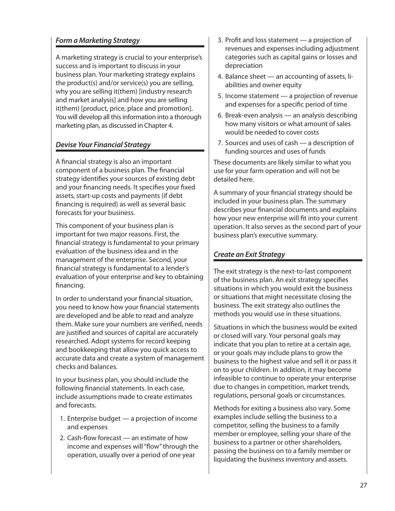#### **Form a Marketing Strategy**

A marketing strategy is crucial to your enterprise's success and is important to discuss in your business plan. Your marketing strategy explains the product(s) and/or service(s) you are selling, why you are selling it(them) [industry research and market analysis] and how you are selling it(them) [product, price, place and promotion]. You will develop all this information into a thorough marketing plan, as discussed in Chapter 4.

## **Devise Your Financial Strategy**

A financial strategy is also an important component of a business plan. The financial strategy identifies your sources of existing debt and your financing needs. It specifies your fixed assets, start-up costs and payments (if debt financing is required) as well as several basic forecasts for your business.

This component of your business plan is important for two major reasons. First, the financial strategy is fundamental to your primary evaluation of the business idea and in the management of the enterprise. Second, your financial strategy is fundamental to a lender's evaluation of your enterprise and key to obtaining financing.

In order to understand your financial situation, you need to know how your financial statements are developed and be able to read and analyze them. Make sure your numbers are verified, needs are justified and sources of capital are accurately researched. Adopt systems for record keeping and bookkeeping that allow you quick access to accurate data and create a system of management checks and balances.

In your business plan, you should include the following financial statements. In each case, include assumptions made to create estimates and forecasts.

- 1. Enterprise budget a projection of income and expenses
- 2. Cash-flow forecast an estimate of how income and expenses will "flow" through the operation, usually over a period of one year
- 3. Profit and loss statement a projection of revenues and expenses including adjustment categories such as capital gains or losses and depreciation
- 4. Balance sheet an accounting of assets, liabilities and owner equity
- 5. Income statement a projection of revenue and expenses for a specific period of time
- 6. Break-even analysis an analysis describing how many visitors or what amount of sales would be needed to cover costs
- 7. Sources and uses of cash a description of funding sources and uses of funds

These documents are likely similar to what you use for your farm operation and will not be detailed here.

A summary of your financial strategy should be included in your business plan. The summary describes your financial documents and explains how your new enterprise will fit into your current operation. It also serves as the second part of your business plan's executive summary.

#### **Create an Exit Strategy**

The exit strategy is the next-to-last component of the business plan. An exit strategy specifies situations in which you would exit the business or situations that might necessitate closing the business. The exit strategy also outlines the methods you would use in these situations.

Situations in which the business would be exited or closed will vary. Your personal goals may indicate that you plan to retire at a certain age, or your goals may include plans to grow the business to the highest value and sell it or pass it on to your children. In addition, it may become infeasible to continue to operate your enterprise due to changes in competition, market trends, regulations, personal goals or circumstances.

Methods for exiting a business also vary. Some examples include selling the business to a competitor, selling the business to a family member or employee, selling your share of the business to a partner or other shareholders, passing the business on to a family member or liquidating the business inventory and assets.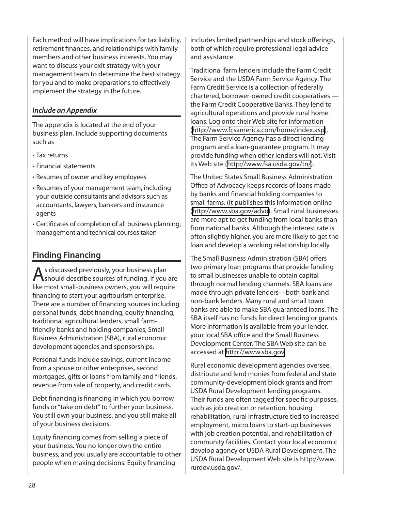<span id="page-9-0"></span>Each method will have implications for tax liability, retirement finances, and relationships with family members and other business interests. You may want to discuss your exit strategy with your management team to determine the best strategy for you and to make preparations to effectively implement the strategy in the future.

#### **Include an Appendix**

The appendix is located at the end of your business plan. Include supporting documents such as

- Tax returns
- Financial statements
- Resumes of owner and key employees
- Resumes of your management team, including your outside consultants and advisors such as accountants, lawyers, bankers and insurance agents
- Certificates of completion of all business planning, management and technical courses taken

# **Finding Financing**

As discussed previously, your business plan<br>
should describe sources of funding. If you are like most small-business owners, you will require financing to start your agritourism enterprise. There are a number of financing sources including personal funds, debt financing, equity financing, traditional agricultural lenders, small farmfriendly banks and holding companies, Small Business Administration (SBA), rural economic development agencies and sponsorships.

Personal funds include savings, current income from a spouse or other enterprises, second mortgages, gifts or loans from family and friends, revenue from sale of property, and credit cards.

Debt financing is financing in which you borrow funds or "take on debt" to further your business. You still own your business, and you still make all of your business decisions.

Equity financing comes from selling a piece of your business. You no longer own the entire business, and you usually are accountable to other people when making decisions. Equity financing

includes limited partnerships and stock offerings, both of which require professional legal advice and assistance.

Traditional farm lenders include the Farm Credit Service and the USDA Farm Service Agency. The Farm Credit Service is a collection of federally chartered, borrower-owned credit cooperatives the Farm Credit Cooperative Banks. They lend to agricultural operations and provide rural home loans. Log onto their Web site for information [\(http://www.fcsamerica.com/home/index.asp](http://www.fcsamerica.com/home/index.asp)). The Farm Service Agency has a direct lending program and a loan-guarantee program. It may provide funding when other lenders will not. Visit its Web site [\(http://www.fsa.usda.gov/tn/\)](http://www.fsa.usda.gov/ca/caindexflp.htm).

The United States Small Business Administration Office of Advocacy keeps records of loans made by banks and financial holding companies to small farms. (It publishes this information online [\(http://www.sba.gov/advo](http://www.sba.gov/advo)). Small rural businesses are more apt to get funding from local banks than from national banks. Although the interest rate is often slightly higher, you are more likely to get the loan and develop a working relationship locally.

The Small Business Administration (SBA) offers two primary loan programs that provide funding to small businesses unable to obtain capital through normal lending channels. SBA loans are made through private lenders—both bank and non-bank lenders. Many rural and small town banks are able to make SBA guaranteed loans. The SBA itself has no funds for direct lending or grants. More information is available from your lender, your local SBA office and the Small Business Development Center. The SBA Web site can be accessed at [http://www.sba.gov.](http://www.sba.gov)

Rural economic development agencies oversee, distribute and lend monies from federal and state community-development block grants and from USDA Rural Development lending programs. Their funds are often tagged for specific purposes, such as job creation or retention, housing rehabilitation, rural infrastructure tied to increased employment, micro loans to start-up businesses with job creation potential, and rehabilitation of community facilities. Contact your local economic develop agency or USDA Rural Development. The USDA Rural Development Web site is http://www. rurdev.usda.gov/.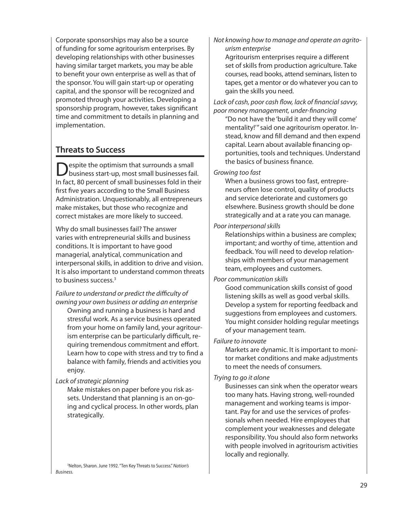<span id="page-10-0"></span>Corporate sponsorships may also be a source of funding for some agritourism enterprises. By developing relationships with other businesses having similar target markets, you may be able to benefit your own enterprise as well as that of the sponsor. You will gain start-up or operating capital, and the sponsor will be recognized and promoted through your activities. Developing a sponsorship program, however, takes significant time and commitment to details in planning and implementation.

# **Threats to Success**

Despite the optimism that surrounds a small business start-up, most small businesses fail. In fact, 80 percent of small businesses fold in their first five years according to the Small Business Administration. Unquestionably, all entrepreneurs make mistakes, but those who recognize and correct mistakes are more likely to succeed.

Why do small businesses fail? The answer varies with entrepreneurial skills and business conditions. It is important to have good managerial, analytical, communication and interpersonal skills, in addition to drive and vision. It is also important to understand common threats to business success.<sup>3</sup>

#### Failure to understand or predict the difficulty of owning your own business or adding an enterprise

Owning and running a business is hard and stressful work. As a service business operated from your home on family land, your agritourism enterprise can be particularly difficult, requiring tremendous commitment and effort. Learn how to cope with stress and try to find a balance with family, friends and activities you enjoy.

Lack of strategic planning

Make mistakes on paper before you risk assets. Understand that planning is an on-going and cyclical process. In other words, plan strategically.

<sup>3</sup>Nelton, Sharon. June 1992. "Ten Key Threats to Success." Nation's Business.

Not knowing how to manage and operate an agritourism enterprise

Agritourism enterprises require a different set of skills from production agriculture. Take courses, read books, attend seminars, listen to tapes, get a mentor or do whatever you can to gain the skills you need.

Lack of cash, poor cash flow, lack of financial savvy, poor money management, under-financing

"Do not have the 'build it and they will come' mentality!" said one agritourism operator. Instead, know and fill demand and then expend capital. Learn about available financing opportunities, tools and techniques. Understand the basics of business finance.

## Growing too fast

When a business grows too fast, entrepreneurs often lose control, quality of products and service deteriorate and customers go elsewhere. Business growth should be done strategically and at a rate you can manage.

## Poor interpersonal skills

Relationships within a business are complex; important; and worthy of time, attention and feedback. You will need to develop relationships with members of your management team, employees and customers.

Poor communication skills

Good communication skills consist of good listening skills as well as good verbal skills. Develop a system for reporting feedback and suggestions from employees and customers. You might consider holding regular meetings of your management team.

## Failure to innovate

Markets are dynamic. It is important to monitor market conditions and make adjustments to meet the needs of consumers.

## Trying to go it alone

Businesses can sink when the operator wears too many hats. Having strong, well-rounded management and working teams is important. Pay for and use the services of professionals when needed. Hire employees that complement your weaknesses and delegate responsibility. You should also form networks with people involved in agritourism activities locally and regionally.